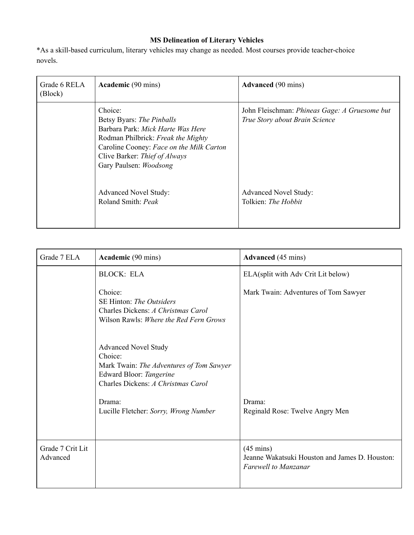## **MS Delineation of Literary Vehicles**

\*As a skill-based curriculum, literary vehicles may change as needed. Most courses provide teacher-choice novels.

| Grade 6 RELA<br>(Block) | <b>Academic</b> (90 mins)                                                                                                                                                                                              | <b>Advanced</b> (90 mins)                                                       |
|-------------------------|------------------------------------------------------------------------------------------------------------------------------------------------------------------------------------------------------------------------|---------------------------------------------------------------------------------|
|                         | Choice:<br>Betsy Byars: The Pinballs<br>Barbara Park: Mick Harte Was Here<br>Rodman Philbrick: Freak the Mighty<br>Caroline Cooney: Face on the Milk Carton<br>Clive Barker: Thief of Always<br>Gary Paulsen: Woodsong | John Fleischman: Phineas Gage: A Gruesome but<br>True Story about Brain Science |
|                         | <b>Advanced Novel Study:</b><br>Roland Smith: Peak                                                                                                                                                                     | <b>Advanced Novel Study:</b><br>Tolkien: The Hobbit                             |

| Grade 7 ELA                  | <b>Academic</b> (90 mins)                                                                                                                           | <b>Advanced</b> (45 mins)                                                                            |
|------------------------------|-----------------------------------------------------------------------------------------------------------------------------------------------------|------------------------------------------------------------------------------------------------------|
|                              | <b>BLOCK: ELA</b>                                                                                                                                   | ELA(split with Adv Crit Lit below)                                                                   |
|                              | Choice:<br>SE Hinton: <i>The Outsiders</i><br>Charles Dickens: A Christmas Carol<br>Wilson Rawls: <i>Where the Red Fern Grows</i>                   | Mark Twain: Adventures of Tom Sawyer                                                                 |
|                              | <b>Advanced Novel Study</b><br>Choice:<br>Mark Twain: The Adventures of Tom Sawyer<br>Edward Bloor: Tangerine<br>Charles Dickens: A Christmas Carol |                                                                                                      |
|                              | Drama:<br>Lucille Fletcher: Sorry, Wrong Number                                                                                                     | Drama:<br>Reginald Rose: Twelve Angry Men                                                            |
| Grade 7 Crit Lit<br>Advanced |                                                                                                                                                     | $(45 \text{ mins})$<br>Jeanne Wakatsuki Houston and James D. Houston:<br><b>Farewell to Manzanar</b> |